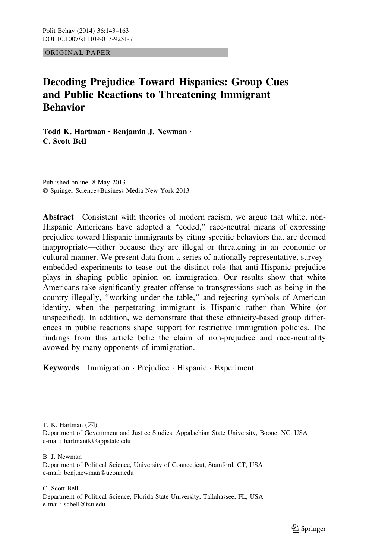ORIGINAL PAPER

# Decoding Prejudice Toward Hispanics: Group Cues and Public Reactions to Threatening Immigrant Behavior

Todd K. Hartman • Benjamin J. Newman • C. Scott Bell

Published online: 8 May 2013 - Springer Science+Business Media New York 2013

Abstract Consistent with theories of modern racism, we argue that white, non-Hispanic Americans have adopted a "coded," race-neutral means of expressing prejudice toward Hispanic immigrants by citing specific behaviors that are deemed inappropriate—either because they are illegal or threatening in an economic or cultural manner. We present data from a series of nationally representative, surveyembedded experiments to tease out the distinct role that anti-Hispanic prejudice plays in shaping public opinion on immigration. Our results show that white Americans take significantly greater offense to transgressions such as being in the country illegally, ''working under the table,'' and rejecting symbols of American identity, when the perpetrating immigrant is Hispanic rather than White (or unspecified). In addition, we demonstrate that these ethnicity-based group differences in public reactions shape support for restrictive immigration policies. The findings from this article belie the claim of non-prejudice and race-neutrality avowed by many opponents of immigration.

Keywords Immigration - Prejudice - Hispanic - Experiment

T. K. Hartman  $(\boxtimes)$ 

B. J. Newman

C. Scott Bell Department of Political Science, Florida State University, Tallahassee, FL, USA e-mail: scbell@fsu.edu

Department of Government and Justice Studies, Appalachian State University, Boone, NC, USA e-mail: hartmantk@appstate.edu

Department of Political Science, University of Connecticut, Stamford, CT, USA e-mail: benj.newman@uconn.edu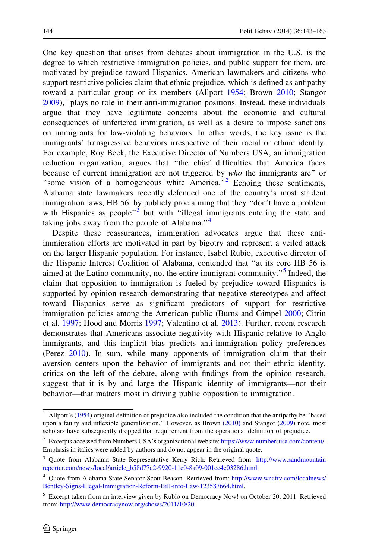One key question that arises from debates about immigration in the U.S. is the degree to which restrictive immigration policies, and public support for them, are motivated by prejudice toward Hispanics. American lawmakers and citizens who support restrictive policies claim that ethnic prejudice, which is defined as antipathy toward a particular group or its members (Allport [1954](#page-19-0); Brown [2010;](#page-19-0) Stangor  $2009$ ),<sup>1</sup> plays no role in their anti-immigration positions. Instead, these individuals argue that they have legitimate concerns about the economic and cultural consequences of unfettered immigration, as well as a desire to impose sanctions on immigrants for law-violating behaviors. In other words, the key issue is the immigrants' transgressive behaviors irrespective of their racial or ethnic identity. For example, Roy Beck, the Executive Director of Numbers USA, an immigration reduction organization, argues that ''the chief difficulties that America faces because of current immigration are not triggered by who the immigrants are'' or "some vision of a homogeneous white America."<sup>2</sup> Echoing these sentiments, Alabama state lawmakers recently defended one of the country's most strident immigration laws, HB 56, by publicly proclaiming that they ''don't have a problem with Hispanics as people<sup>"3</sup> but with "illegal immigrants entering the state and taking jobs away from the people of Alabama."<sup>4</sup>

Despite these reassurances, immigration advocates argue that these antiimmigration efforts are motivated in part by bigotry and represent a veiled attack on the larger Hispanic population. For instance, Isabel Rubio, executive director of the Hispanic Interest Coalition of Alabama, contended that ''at its core HB 56 is aimed at the Latino community, not the entire immigrant community.''<sup>5</sup> Indeed, the claim that opposition to immigration is fueled by prejudice toward Hispanics is supported by opinion research demonstrating that negative stereotypes and affect toward Hispanics serve as significant predictors of support for restrictive immigration policies among the American public (Burns and Gimpel [2000;](#page-19-0) Citrin et al. [1997;](#page-19-0) Hood and Morris [1997](#page-19-0); Valentino et al. [2013\)](#page-20-0). Further, recent research demonstrates that Americans associate negativity with Hispanic relative to Anglo immigrants, and this implicit bias predicts anti-immigration policy preferences (Perez [2010\)](#page-20-0). In sum, while many opponents of immigration claim that their aversion centers upon the behavior of immigrants and not their ethnic identity, critics on the left of the debate, along with findings from the opinion research, suggest that it is by and large the Hispanic identity of immigrants—not their behavior—that matters most in driving public opposition to immigration.

<sup>&</sup>lt;sup>1</sup> Allport's [\(1954](#page-19-0)) original definition of prejudice also included the condition that the antipathy be "based upon a faulty and inflexible generalization." However, as Brown [\(2010\)](#page-19-0) and Stangor [\(2009](#page-20-0)) note, most scholars have subsequently dropped that requirement from the operational definition of prejudice.

<sup>2</sup> Excerpts accessed from Numbers USA's organizational website: <https://www.numbersusa.com/content/>. Emphasis in italics were added by authors and do not appear in the original quote.

<sup>&</sup>lt;sup>3</sup> Quote from Alabama State Representative Kerry Rich. Retrieved from: [http://www.sandmountain](http://www.sandmountainreporter.com/news/local/article_b58d77c2-9920-11e0-8a09-001cc4c03286.html) [reporter.com/news/local/article\\_b58d77c2-9920-11e0-8a09-001cc4c03286.html](http://www.sandmountainreporter.com/news/local/article_b58d77c2-9920-11e0-8a09-001cc4c03286.html).

<sup>4</sup> Quote from Alabama State Senator Scott Beason. Retrieved from: [http://www.wncftv.com/localnews/](http://www.wncftv.com/localnews/Bentley-Signs-Illegal-Immigration-Reform-Bill-into-Law-123587664.html) [Bentley-Signs-Illegal-Immigration-Reform-Bill-into-Law-123587664.html](http://www.wncftv.com/localnews/Bentley-Signs-Illegal-Immigration-Reform-Bill-into-Law-123587664.html).

<sup>5</sup> Excerpt taken from an interview given by Rubio on Democracy Now! on October 20, 2011. Retrieved from: <http://www.democracynow.org/shows/2011/10/20>.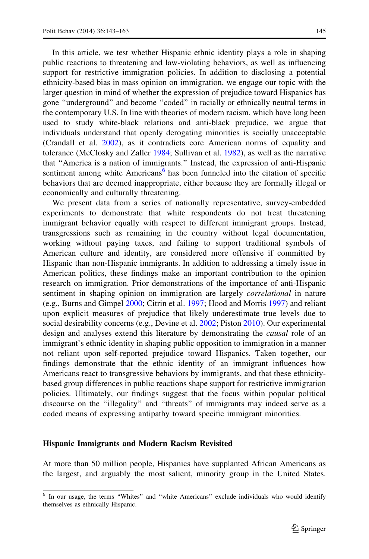In this article, we test whether Hispanic ethnic identity plays a role in shaping public reactions to threatening and law-violating behaviors, as well as influencing support for restrictive immigration policies. In addition to disclosing a potential ethnicity-based bias in mass opinion on immigration, we engage our topic with the larger question in mind of whether the expression of prejudice toward Hispanics has gone ''underground'' and become ''coded'' in racially or ethnically neutral terms in the contemporary U.S. In line with theories of modern racism, which have long been used to study white-black relations and anti-black prejudice, we argue that individuals understand that openly derogating minorities is socially unacceptable (Crandall et al. [2002](#page-19-0)), as it contradicts core American norms of equality and tolerance (McClosky and Zaller [1984](#page-20-0); Sullivan et al. [1982\)](#page-20-0), as well as the narrative that ''America is a nation of immigrants.'' Instead, the expression of anti-Hispanic sentiment among white Americans<sup>6</sup> has been funneled into the citation of specific behaviors that are deemed inappropriate, either because they are formally illegal or economically and culturally threatening.

We present data from a series of nationally representative, survey-embedded experiments to demonstrate that white respondents do not treat threatening immigrant behavior equally with respect to different immigrant groups. Instead, transgressions such as remaining in the country without legal documentation, working without paying taxes, and failing to support traditional symbols of American culture and identity, are considered more offensive if committed by Hispanic than non-Hispanic immigrants. In addition to addressing a timely issue in American politics, these findings make an important contribution to the opinion research on immigration. Prior demonstrations of the importance of anti-Hispanic sentiment in shaping opinion on immigration are largely correlational in nature (e.g., Burns and Gimpel [2000;](#page-19-0) Citrin et al. [1997](#page-19-0); Hood and Morris [1997\)](#page-19-0) and reliant upon explicit measures of prejudice that likely underestimate true levels due to social desirability concerns (e.g., Devine et al. [2002;](#page-19-0) Piston [2010\)](#page-20-0). Our experimental design and analyses extend this literature by demonstrating the *causal* role of an immigrant's ethnic identity in shaping public opposition to immigration in a manner not reliant upon self-reported prejudice toward Hispanics. Taken together, our findings demonstrate that the ethnic identity of an immigrant influences how Americans react to transgressive behaviors by immigrants, and that these ethnicitybased group differences in public reactions shape support for restrictive immigration policies. Ultimately, our findings suggest that the focus within popular political discourse on the ''illegality'' and ''threats'' of immigrants may indeed serve as a coded means of expressing antipathy toward specific immigrant minorities.

### Hispanic Immigrants and Modern Racism Revisited

At more than 50 million people, Hispanics have supplanted African Americans as the largest, and arguably the most salient, minority group in the United States.

<sup>&</sup>lt;sup>6</sup> In our usage, the terms "Whites" and "white Americans" exclude individuals who would identify themselves as ethnically Hispanic.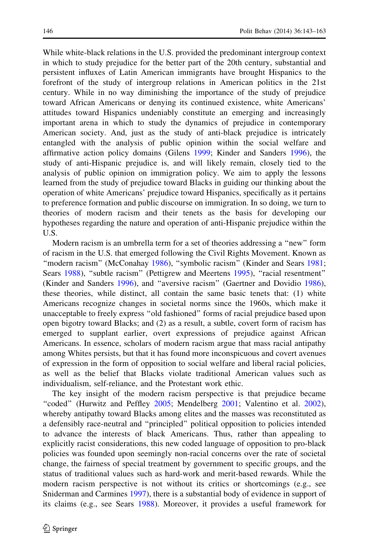While white-black relations in the U.S. provided the predominant intergroup context in which to study prejudice for the better part of the 20th century, substantial and persistent influxes of Latin American immigrants have brought Hispanics to the forefront of the study of intergroup relations in American politics in the 21st century. While in no way diminishing the importance of the study of prejudice toward African Americans or denying its continued existence, white Americans' attitudes toward Hispanics undeniably constitute an emerging and increasingly important arena in which to study the dynamics of prejudice in contemporary American society. And, just as the study of anti-black prejudice is intricately entangled with the analysis of public opinion within the social welfare and affirmative action policy domains (Gilens [1999;](#page-19-0) Kinder and Sanders [1996\)](#page-20-0), the study of anti-Hispanic prejudice is, and will likely remain, closely tied to the analysis of public opinion on immigration policy. We aim to apply the lessons learned from the study of prejudice toward Blacks in guiding our thinking about the operation of white Americans' prejudice toward Hispanics, specifically as it pertains to preference formation and public discourse on immigration. In so doing, we turn to theories of modern racism and their tenets as the basis for developing our hypotheses regarding the nature and operation of anti-Hispanic prejudice within the U.S.

Modern racism is an umbrella term for a set of theories addressing a ''new'' form of racism in the U.S. that emerged following the Civil Rights Movement. Known as "modern racism" (McConahay [1986](#page-20-0)), "symbolic racism" (Kinder and Sears [1981;](#page-20-0) Sears [1988](#page-20-0)), ''subtle racism'' (Pettigrew and Meertens [1995](#page-20-0)), ''racial resentment'' (Kinder and Sanders [1996](#page-20-0)), and ''aversive racism'' (Gaertner and Dovidio [1986\)](#page-19-0), these theories, while distinct, all contain the same basic tenets that: (1) white Americans recognize changes in societal norms since the 1960s, which make it unacceptable to freely express ''old fashioned'' forms of racial prejudice based upon open bigotry toward Blacks; and (2) as a result, a subtle, covert form of racism has emerged to supplant earlier, overt expressions of prejudice against African Americans. In essence, scholars of modern racism argue that mass racial antipathy among Whites persists, but that it has found more inconspicuous and covert avenues of expression in the form of opposition to social welfare and liberal racial policies, as well as the belief that Blacks violate traditional American values such as individualism, self-reliance, and the Protestant work ethic.

The key insight of the modern racism perspective is that prejudice became ''coded'' (Hurwitz and Peffley [2005;](#page-19-0) Mendelberg [2001](#page-20-0); Valentino et al. [2002\)](#page-20-0), whereby antipathy toward Blacks among elites and the masses was reconstituted as a defensibly race-neutral and ''principled'' political opposition to policies intended to advance the interests of black Americans. Thus, rather than appealing to explicitly racist considerations, this new coded language of opposition to pro-black policies was founded upon seemingly non-racial concerns over the rate of societal change, the fairness of special treatment by government to specific groups, and the status of traditional values such as hard-work and merit-based rewards. While the modern racism perspective is not without its critics or shortcomings (e.g., see Sniderman and Carmines [1997](#page-20-0)), there is a substantial body of evidence in support of its claims (e.g., see Sears [1988](#page-20-0)). Moreover, it provides a useful framework for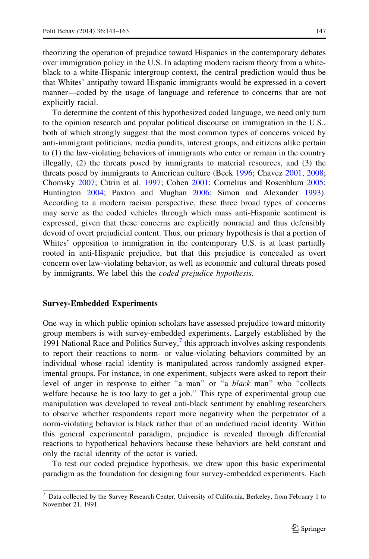theorizing the operation of prejudice toward Hispanics in the contemporary debates over immigration policy in the U.S. In adapting modern racism theory from a whiteblack to a white-Hispanic intergroup context, the central prediction would thus be that Whites' antipathy toward Hispanic immigrants would be expressed in a covert manner—coded by the usage of language and reference to concerns that are not explicitly racial.

To determine the content of this hypothesized coded language, we need only turn to the opinion research and popular political discourse on immigration in the U.S., both of which strongly suggest that the most common types of concerns voiced by anti-immigrant politicians, media pundits, interest groups, and citizens alike pertain to (1) the law-violating behaviors of immigrants who enter or remain in the country illegally, (2) the threats posed by immigrants to material resources, and (3) the threats posed by immigrants to American culture (Beck [1996;](#page-19-0) Chavez [2001,](#page-19-0) [2008;](#page-19-0) Chomsky [2007](#page-19-0); Citrin et al. [1997;](#page-19-0) Cohen [2001](#page-19-0); Cornelius and Rosenblum [2005;](#page-19-0) Huntington [2004](#page-19-0); Paxton and Mughan [2006;](#page-20-0) Simon and Alexander [1993\)](#page-20-0). According to a modern racism perspective, these three broad types of concerns may serve as the coded vehicles through which mass anti-Hispanic sentiment is expressed, given that these concerns are explicitly nonracial and thus defensibly devoid of overt prejudicial content. Thus, our primary hypothesis is that a portion of Whites' opposition to immigration in the contemporary U.S. is at least partially rooted in anti-Hispanic prejudice, but that this prejudice is concealed as overt concern over law-violating behavior, as well as economic and cultural threats posed by immigrants. We label this the *coded prejudice hypothesis*.

### Survey-Embedded Experiments

One way in which public opinion scholars have assessed prejudice toward minority group members is with survey-embedded experiments. Largely established by the 1991 National Race and Politics Survey, $\frac{7}{1}$  this approach involves asking respondents to report their reactions to norm- or value-violating behaviors committed by an individual whose racial identity is manipulated across randomly assigned experimental groups. For instance, in one experiment, subjects were asked to report their level of anger in response to either "a man" or "a black man" who "collects welfare because he is too lazy to get a job.'' This type of experimental group cue manipulation was developed to reveal anti-black sentiment by enabling researchers to observe whether respondents report more negativity when the perpetrator of a norm-violating behavior is black rather than of an undefined racial identity. Within this general experimental paradigm, prejudice is revealed through differential reactions to hypothetical behaviors because these behaviors are held constant and only the racial identity of the actor is varied.

To test our coded prejudice hypothesis, we drew upon this basic experimental paradigm as the foundation for designing four survey-embedded experiments. Each

 $\overline{7}$  Data collected by the Survey Research Center, University of California, Berkeley, from February 1 to November 21, 1991.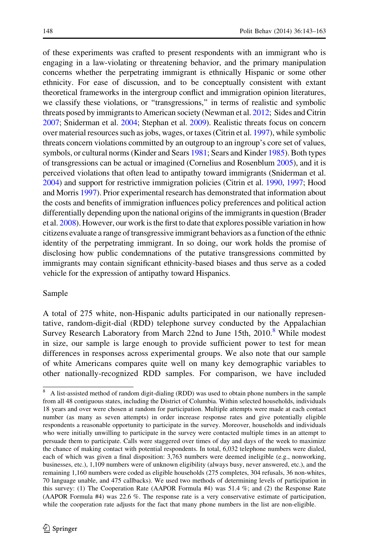of these experiments was crafted to present respondents with an immigrant who is engaging in a law-violating or threatening behavior, and the primary manipulation concerns whether the perpetrating immigrant is ethnically Hispanic or some other ethnicity. For ease of discussion, and to be conceptually consistent with extant theoretical frameworks in the intergroup conflict and immigration opinion literatures, we classify these violations, or ''transgressions,'' in terms of realistic and symbolic threats posed by immigrants to American society (Newman et al. [2012;](#page-20-0) Sides and Citrin [2007;](#page-20-0) Sniderman et al. [2004;](#page-20-0) Stephan et al. [2009\)](#page-20-0). Realistic threats focus on concern over material resources such as jobs, wages, or taxes (Citrin et al. [1997](#page-19-0)), while symbolic threats concern violations committed by an outgroup to an ingroup's core set of values, symbols, or cultural norms (Kinder and Sears [1981;](#page-20-0) Sears and Kinder [1985](#page-20-0)). Both types of transgressions can be actual or imagined (Cornelius and Rosenblum [2005](#page-19-0)), and it is perceived violations that often lead to antipathy toward immigrants (Sniderman et al. [2004\)](#page-20-0) and support for restrictive immigration policies (Citrin et al. [1990](#page-19-0), [1997](#page-19-0); Hood and Morris [1997](#page-19-0)). Prior experimental research has demonstrated that information about the costs and benefits of immigration influences policy preferences and political action differentially depending upon the national origins of the immigrants in question (Brader et al. [2008\)](#page-19-0). However, our work is the first to date that explores possible variation in how citizens evaluate a range of transgressive immigrant behaviors as a function of the ethnic identity of the perpetrating immigrant. In so doing, our work holds the promise of disclosing how public condemnations of the putative transgressions committed by immigrants may contain significant ethnicity-based biases and thus serve as a coded vehicle for the expression of antipathy toward Hispanics.

### Sample

A total of 275 white, non-Hispanic adults participated in our nationally representative, random-digit-dial (RDD) telephone survey conducted by the Appalachian Survey Research Laboratory from March 22nd to June 15th, 2010.<sup>8</sup> While modest in size, our sample is large enough to provide sufficient power to test for mean differences in responses across experimental groups. We also note that our sample of white Americans compares quite well on many key demographic variables to other nationally-recognized RDD samples. For comparison, we have included

<sup>8</sup> A list-assisted method of random digit-dialing (RDD) was used to obtain phone numbers in the sample from all 48 contiguous states, including the District of Columbia. Within selected households, individuals 18 years and over were chosen at random for participation. Multiple attempts were made at each contact number (as many as seven attempts) in order increase response rates and give potentially eligible respondents a reasonable opportunity to participate in the survey. Moreover, households and individuals who were initially unwilling to participate in the survey were contacted multiple times in an attempt to persuade them to participate. Calls were staggered over times of day and days of the week to maximize the chance of making contact with potential respondents. In total, 6,032 telephone numbers were dialed, each of which was given a final disposition: 3,763 numbers were deemed ineligible (e.g., nonworking, businesses, etc.), 1,109 numbers were of unknown eligibility (always busy, never answered, etc.), and the remaining 1,160 numbers were coded as eligible households (275 completes, 304 refusals, 36 non-whites, 70 language unable, and 475 callbacks). We used two methods of determining levels of participation in this survey: (1) The Cooperation Rate (AAPOR Formula #4) was 51.4 %; and (2) the Response Rate (AAPOR Formula #4) was 22.6 %. The response rate is a very conservative estimate of participation, while the cooperation rate adjusts for the fact that many phone numbers in the list are non-eligible.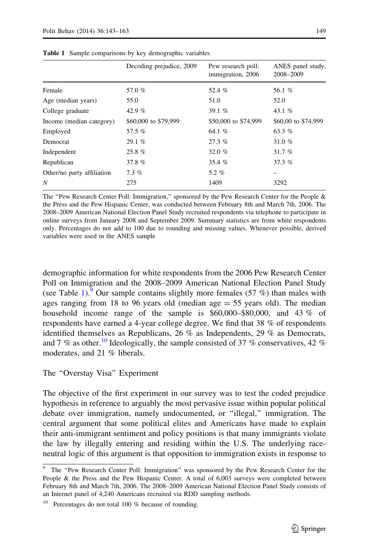|                            | Decoding prejudice, 2009 | Pew research poll:<br>immigration, 2006 | ANES panel study,<br>2008-2009 |  |
|----------------------------|--------------------------|-----------------------------------------|--------------------------------|--|
| Female                     | 57.0%                    | 52.4 %                                  | 56.1 %                         |  |
| Age (median years)         | 55.0                     | 51.0                                    | 52.0                           |  |
| College graduate           | 42.9 $%$                 | 39.1 $%$                                | 43.1 $%$                       |  |
| Income (median category)   | \$60,000 to \$79,999     | \$50,000 to \$74,999                    | \$60,00 to \$74,999            |  |
| Employed                   | 57.5 %                   | 64.1 %                                  | 63.3 $%$                       |  |
| Democrat                   | 29.1%                    | 27.3%                                   | 31.0 $%$                       |  |
| Independent                | $25.8 \%$                | 32.0 $%$                                | 31.7%                          |  |
| Republican                 | 37.8%                    | 35.4%                                   | 37.3%                          |  |
| Other/no party affiliation | $7.3\%$                  | 5.2%                                    |                                |  |
| N                          | 275                      | 1409                                    | 3292                           |  |

Table 1 Sample comparisons by key demographic variables

The "Pew Research Center Poll: Immigration," sponsored by the Pew Research Center for the People & the Press and the Pew Hispanic Center, was conducted between February 8th and March 7th, 2006. The 2008–2009 American National Election Panel Study recruited respondents via telephone to participate in online surveys from January 2008 and September 2009. Summary statistics are from white respondents only. Percentages do not add to 100 due to rounding and missing values. Whenever possible, derived variables were used in the ANES sample

demographic information for white respondents from the 2006 Pew Research Center Poll on Immigration and the 2008–2009 American National Election Panel Study (see Table 1).<sup>9</sup> Our sample contains slightly more females (57 %) than males with ages ranging from 18 to 96 years old (median age  $=$  55 years old). The median household income range of the sample is \$60,000–\$80,000, and 43 % of respondents have earned a 4-year college degree. We find that 38 % of respondents identified themselves as Republicans, 26 % as Independents, 29 % as Democrats, and 7 % as other.<sup>10</sup> Ideologically, the sample consisted of 37 % conservatives, 42 % moderates, and 21 % liberals.

# The "Overstay Visa" Experiment

The objective of the first experiment in our survey was to test the coded prejudice hypothesis in reference to arguably the most pervasive issue within popular political debate over immigration, namely undocumented, or ''illegal,'' immigration. The central argument that some political elites and Americans have made to explain their anti-immigrant sentiment and policy positions is that many immigrants violate the law by illegally entering and residing within the U.S. The underlying raceneutral logic of this argument is that opposition to immigration exists in response to

<sup>&</sup>lt;sup>9</sup> The "Pew Research Center Poll: Immigration" was sponsored by the Pew Research Center for the People & the Press and the Pew Hispanic Center. A total of 6,003 surveys were completed between February 8th and March 7th, 2006. The 2008–2009 American National Election Panel Study consists of an Internet panel of 4,240 Americans recruited via RDD sampling methods.

Percentages do not total 100 % because of rounding.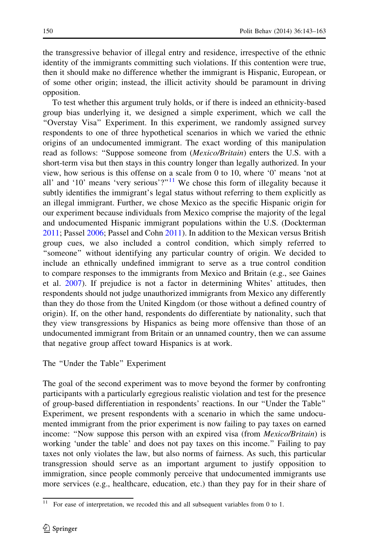the transgressive behavior of illegal entry and residence, irrespective of the ethnic identity of the immigrants committing such violations. If this contention were true, then it should make no difference whether the immigrant is Hispanic, European, or of some other origin; instead, the illicit activity should be paramount in driving opposition.

To test whether this argument truly holds, or if there is indeed an ethnicity-based group bias underlying it, we designed a simple experiment, which we call the "Overstay Visa" Experiment. In this experiment, we randomly assigned survey respondents to one of three hypothetical scenarios in which we varied the ethnic origins of an undocumented immigrant. The exact wording of this manipulation read as follows: "Suppose someone from *(Mexico/Britain)* enters the U.S. with a short-term visa but then stays in this country longer than legally authorized. In your view, how serious is this offense on a scale from 0 to 10, where '0' means 'not at all' and '10' means 'very serious'?"<sup>11</sup> We chose this form of illegality because it subtly identifies the immigrant's legal status without referring to them explicitly as an illegal immigrant. Further, we chose Mexico as the specific Hispanic origin for our experiment because individuals from Mexico comprise the majority of the legal and undocumented Hispanic immigrant populations within the U.S. (Dockterman [2011;](#page-19-0) Passel [2006](#page-20-0); Passel and Cohn [2011\)](#page-20-0). In addition to the Mexican versus British group cues, we also included a control condition, which simply referred to ''someone'' without identifying any particular country of origin. We decided to include an ethnically undefined immigrant to serve as a true control condition to compare responses to the immigrants from Mexico and Britain (e.g., see Gaines et al. [2007\)](#page-19-0). If prejudice is not a factor in determining Whites' attitudes, then respondents should not judge unauthorized immigrants from Mexico any differently than they do those from the United Kingdom (or those without a defined country of origin). If, on the other hand, respondents do differentiate by nationality, such that they view transgressions by Hispanics as being more offensive than those of an undocumented immigrant from Britain or an unnamed country, then we can assume that negative group affect toward Hispanics is at work.

### The "Under the Table" Experiment

The goal of the second experiment was to move beyond the former by confronting participants with a particularly egregious realistic violation and test for the presence of group-based differentiation in respondents' reactions. In our ''Under the Table'' Experiment, we present respondents with a scenario in which the same undocumented immigrant from the prior experiment is now failing to pay taxes on earned income: "Now suppose this person with an expired visa (from *Mexico/Britain*) is working 'under the table' and does not pay taxes on this income.'' Failing to pay taxes not only violates the law, but also norms of fairness. As such, this particular transgression should serve as an important argument to justify opposition to immigration, since people commonly perceive that undocumented immigrants use more services (e.g., healthcare, education, etc.) than they pay for in their share of

For ease of interpretation, we recoded this and all subsequent variables from 0 to 1.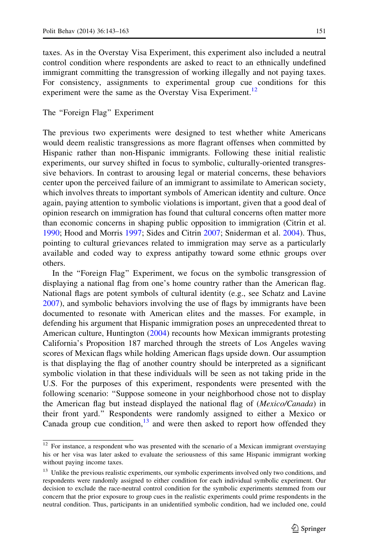taxes. As in the Overstay Visa Experiment, this experiment also included a neutral control condition where respondents are asked to react to an ethnically undefined immigrant committing the transgression of working illegally and not paying taxes. For consistency, assignments to experimental group cue conditions for this experiment were the same as the Overstay Visa Experiment.<sup>12</sup>

# The "Foreign Flag" Experiment

The previous two experiments were designed to test whether white Americans would deem realistic transgressions as more flagrant offenses when committed by Hispanic rather than non-Hispanic immigrants. Following these initial realistic experiments, our survey shifted in focus to symbolic, culturally-oriented transgressive behaviors. In contrast to arousing legal or material concerns, these behaviors center upon the perceived failure of an immigrant to assimilate to American society, which involves threats to important symbols of American identity and culture. Once again, paying attention to symbolic violations is important, given that a good deal of opinion research on immigration has found that cultural concerns often matter more than economic concerns in shaping public opposition to immigration (Citrin et al. [1990;](#page-19-0) Hood and Morris [1997;](#page-19-0) Sides and Citrin [2007;](#page-20-0) Sniderman et al. [2004](#page-20-0)). Thus, pointing to cultural grievances related to immigration may serve as a particularly available and coded way to express antipathy toward some ethnic groups over others.

In the ''Foreign Flag'' Experiment, we focus on the symbolic transgression of displaying a national flag from one's home country rather than the American flag. National flags are potent symbols of cultural identity (e.g., see Schatz and Lavine [2007\)](#page-20-0), and symbolic behaviors involving the use of flags by immigrants have been documented to resonate with American elites and the masses. For example, in defending his argument that Hispanic immigration poses an unprecedented threat to American culture, Huntington ([2004\)](#page-19-0) recounts how Mexican immigrants protesting California's Proposition 187 marched through the streets of Los Angeles waving scores of Mexican flags while holding American flags upside down. Our assumption is that displaying the flag of another country should be interpreted as a significant symbolic violation in that these individuals will be seen as not taking pride in the U.S. For the purposes of this experiment, respondents were presented with the following scenario: ''Suppose someone in your neighborhood chose not to display the American flag but instead displayed the national flag of (Mexico/Canada) in their front yard.'' Respondents were randomly assigned to either a Mexico or Canada group cue condition, $13$  and were then asked to report how offended they

<sup>&</sup>lt;sup>12</sup> For instance, a respondent who was presented with the scenario of a Mexican immigrant overstaying his or her visa was later asked to evaluate the seriousness of this same Hispanic immigrant working without paying income taxes.

<sup>&</sup>lt;sup>13</sup> Unlike the previous realistic experiments, our symbolic experiments involved only two conditions, and respondents were randomly assigned to either condition for each individual symbolic experiment. Our decision to exclude the race-neutral control condition for the symbolic experiments stemmed from our concern that the prior exposure to group cues in the realistic experiments could prime respondents in the neutral condition. Thus, participants in an unidentified symbolic condition, had we included one, could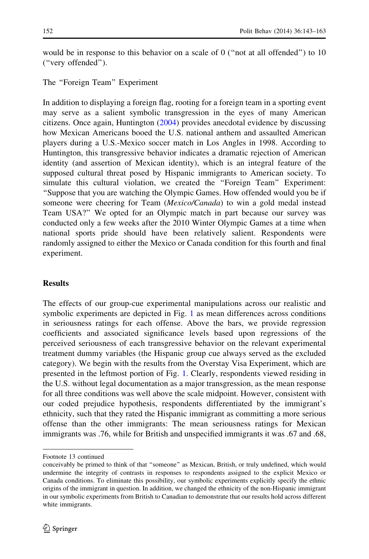would be in response to this behavior on a scale of 0 (''not at all offended'') to 10 (''very offended'').

The "Foreign Team" Experiment

In addition to displaying a foreign flag, rooting for a foreign team in a sporting event may serve as a salient symbolic transgression in the eyes of many American citizens. Once again, Huntington [\(2004](#page-19-0)) provides anecdotal evidence by discussing how Mexican Americans booed the U.S. national anthem and assaulted American players during a U.S.-Mexico soccer match in Los Angles in 1998. According to Huntington, this transgressive behavior indicates a dramatic rejection of American identity (and assertion of Mexican identity), which is an integral feature of the supposed cultural threat posed by Hispanic immigrants to American society. To simulate this cultural violation, we created the ''Foreign Team'' Experiment: ''Suppose that you are watching the Olympic Games. How offended would you be if someone were cheering for Team (Mexico/Canada) to win a gold medal instead Team USA?'' We opted for an Olympic match in part because our survey was conducted only a few weeks after the 2010 Winter Olympic Games at a time when national sports pride should have been relatively salient. Respondents were randomly assigned to either the Mexico or Canada condition for this fourth and final experiment.

# **Results**

The effects of our group-cue experimental manipulations across our realistic and symbolic experiments are depicted in Fig. [1](#page-10-0) as mean differences across conditions in seriousness ratings for each offense. Above the bars, we provide regression coefficients and associated significance levels based upon regressions of the perceived seriousness of each transgressive behavior on the relevant experimental treatment dummy variables (the Hispanic group cue always served as the excluded category). We begin with the results from the Overstay Visa Experiment, which are presented in the leftmost portion of Fig. [1.](#page-10-0) Clearly, respondents viewed residing in the U.S. without legal documentation as a major transgression, as the mean response for all three conditions was well above the scale midpoint. However, consistent with our coded prejudice hypothesis, respondents differentiated by the immigrant's ethnicity, such that they rated the Hispanic immigrant as committing a more serious offense than the other immigrants: The mean seriousness ratings for Mexican immigrants was .76, while for British and unspecified immigrants it was .67 and .68,

Footnote 13 continued

conceivably be primed to think of that ''someone'' as Mexican, British, or truly undefined, which would undermine the integrity of contrasts in responses to respondents assigned to the explicit Mexico or Canada conditions. To eliminate this possibility, our symbolic experiments explicitly specify the ethnic origins of the immigrant in question. In addition, we changed the ethnicity of the non-Hispanic immigrant in our symbolic experiments from British to Canadian to demonstrate that our results hold across different white immigrants.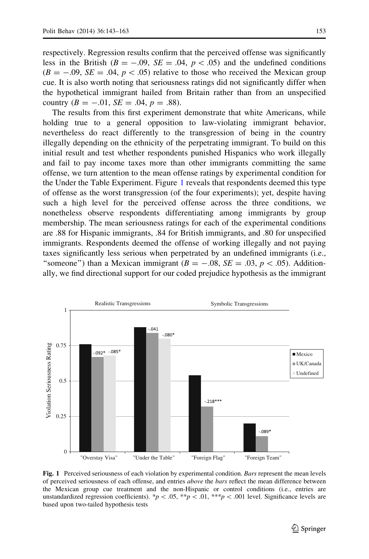<span id="page-10-0"></span>respectively. Regression results confirm that the perceived offense was significantly less in the British ( $B = -0.09$ ,  $SE = 0.04$ ,  $p < 0.05$ ) and the undefined conditions  $(B = -.09, SE = .04, p < .05)$  relative to those who received the Mexican group cue. It is also worth noting that seriousness ratings did not significantly differ when the hypothetical immigrant hailed from Britain rather than from an unspecified country  $(B = -.01, SE = .04, p = .88)$ .

The results from this first experiment demonstrate that white Americans, while holding true to a general opposition to law-violating immigrant behavior, nevertheless do react differently to the transgression of being in the country illegally depending on the ethnicity of the perpetrating immigrant. To build on this initial result and test whether respondents punished Hispanics who work illegally and fail to pay income taxes more than other immigrants committing the same offense, we turn attention to the mean offense ratings by experimental condition for the Under the Table Experiment. Figure 1 reveals that respondents deemed this type of offense as the worst transgression (of the four experiments); yet, despite having such a high level for the perceived offense across the three conditions, we nonetheless observe respondents differentiating among immigrants by group membership. The mean seriousness ratings for each of the experimental conditions are .88 for Hispanic immigrants, .84 for British immigrants, and .80 for unspecified immigrants. Respondents deemed the offense of working illegally and not paying taxes significantly less serious when perpetrated by an undefined immigrants (i.e., "someone") than a Mexican immigrant  $(B = -.08, SE = .03, p < .05)$ . Additionally, we find directional support for our coded prejudice hypothesis as the immigrant



Fig. 1 Perceived seriousness of each violation by experimental condition. Bars represent the mean levels of perceived seriousness of each offense, and entries *above* the *bars* reflect the mean difference between the Mexican group cue treatment and the non-Hispanic or control conditions (i.e., entries are unstandardized regression coefficients). \*p $\lt$  .05, \*\*p $\lt$  .01, \*\*\*p $\lt$  .001 level. Significance levels are based upon two-tailed hypothesis tests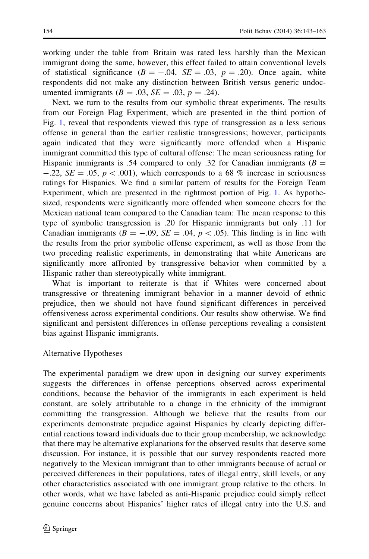working under the table from Britain was rated less harshly than the Mexican immigrant doing the same, however, this effect failed to attain conventional levels of statistical significance  $(B = -.04, SE = .03, p = .20)$ . Once again, white respondents did not make any distinction between British versus generic undocumented immigrants ( $B = .03$ ,  $SE = .03$ ,  $p = .24$ ).

Next, we turn to the results from our symbolic threat experiments. The results from our Foreign Flag Experiment, which are presented in the third portion of Fig. [1](#page-10-0), reveal that respondents viewed this type of transgression as a less serious offense in general than the earlier realistic transgressions; however, participants again indicated that they were significantly more offended when a Hispanic immigrant committed this type of cultural offense: The mean seriousness rating for Hispanic immigrants is .54 compared to only .32 for Canadian immigrants ( $B =$  $-.22$ ,  $SE = .05$ ,  $p < .001$ ), which corresponds to a 68 % increase in seriousness ratings for Hispanics. We find a similar pattern of results for the Foreign Team Experiment, which are presented in the rightmost portion of Fig. [1](#page-10-0). As hypothesized, respondents were significantly more offended when someone cheers for the Mexican national team compared to the Canadian team: The mean response to this type of symbolic transgression is .20 for Hispanic immigrants but only .11 for Canadian immigrants ( $B = -.09$ ,  $SE = .04$ ,  $p < .05$ ). This finding is in line with the results from the prior symbolic offense experiment, as well as those from the two preceding realistic experiments, in demonstrating that white Americans are significantly more affronted by transgressive behavior when committed by a Hispanic rather than stereotypically white immigrant.

What is important to reiterate is that if Whites were concerned about transgressive or threatening immigrant behavior in a manner devoid of ethnic prejudice, then we should not have found significant differences in perceived offensiveness across experimental conditions. Our results show otherwise. We find significant and persistent differences in offense perceptions revealing a consistent bias against Hispanic immigrants.

# Alternative Hypotheses

The experimental paradigm we drew upon in designing our survey experiments suggests the differences in offense perceptions observed across experimental conditions, because the behavior of the immigrants in each experiment is held constant, are solely attributable to a change in the ethnicity of the immigrant committing the transgression. Although we believe that the results from our experiments demonstrate prejudice against Hispanics by clearly depicting differential reactions toward individuals due to their group membership, we acknowledge that there may be alternative explanations for the observed results that deserve some discussion. For instance, it is possible that our survey respondents reacted more negatively to the Mexican immigrant than to other immigrants because of actual or perceived differences in their populations, rates of illegal entry, skill levels, or any other characteristics associated with one immigrant group relative to the others. In other words, what we have labeled as anti-Hispanic prejudice could simply reflect genuine concerns about Hispanics' higher rates of illegal entry into the U.S. and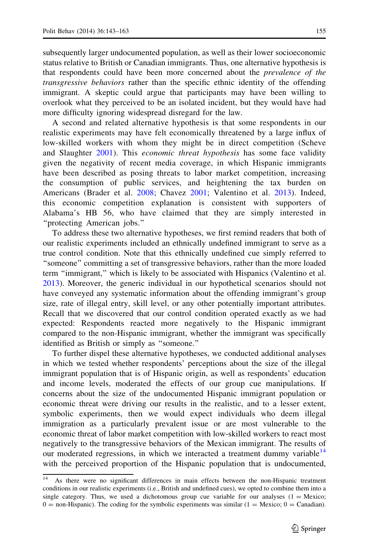subsequently larger undocumented population, as well as their lower socioeconomic status relative to British or Canadian immigrants. Thus, one alternative hypothesis is that respondents could have been more concerned about the prevalence of the transgressive behaviors rather than the specific ethnic identity of the offending immigrant. A skeptic could argue that participants may have been willing to overlook what they perceived to be an isolated incident, but they would have had more difficulty ignoring widespread disregard for the law.

A second and related alternative hypothesis is that some respondents in our realistic experiments may have felt economically threatened by a large influx of low-skilled workers with whom they might be in direct competition (Scheve and Slaughter [2001\)](#page-20-0). This economic threat hypothesis has some face validity given the negativity of recent media coverage, in which Hispanic immigrants have been described as posing threats to labor market competition, increasing the consumption of public services, and heightening the tax burden on Americans (Brader et al. [2008](#page-19-0); Chavez [2001;](#page-19-0) Valentino et al. [2013](#page-20-0)). Indeed, this economic competition explanation is consistent with supporters of Alabama's HB 56, who have claimed that they are simply interested in ''protecting American jobs.''

To address these two alternative hypotheses, we first remind readers that both of our realistic experiments included an ethnically undefined immigrant to serve as a true control condition. Note that this ethnically undefined cue simply referred to ''someone'' committing a set of transgressive behaviors, rather than the more loaded term ''immigrant,'' which is likely to be associated with Hispanics (Valentino et al. [2013\)](#page-20-0). Moreover, the generic individual in our hypothetical scenarios should not have conveyed any systematic information about the offending immigrant's group size, rate of illegal entry, skill level, or any other potentially important attributes. Recall that we discovered that our control condition operated exactly as we had expected: Respondents reacted more negatively to the Hispanic immigrant compared to the non-Hispanic immigrant, whether the immigrant was specifically identified as British or simply as ''someone.''

To further dispel these alternative hypotheses, we conducted additional analyses in which we tested whether respondents' perceptions about the size of the illegal immigrant population that is of Hispanic origin, as well as respondents' education and income levels, moderated the effects of our group cue manipulations. If concerns about the size of the undocumented Hispanic immigrant population or economic threat were driving our results in the realistic, and to a lesser extent, symbolic experiments, then we would expect individuals who deem illegal immigration as a particularly prevalent issue or are most vulnerable to the economic threat of labor market competition with low-skilled workers to react most negatively to the transgressive behaviors of the Mexican immigrant. The results of our moderated regressions, in which we interacted a treatment dummy variable<sup>14</sup> with the perceived proportion of the Hispanic population that is undocumented,

<sup>&</sup>lt;sup>14</sup> As there were no significant differences in main effects between the non-Hispanic treatment conditions in our realistic experiments (i.e., British and undefined cues), we opted to combine them into a single category. Thus, we used a dichotomous group cue variable for our analyses  $(1 = \text{Mexico})$ ;  $0 =$  non-Hispanic). The coding for the symbolic experiments was similar (1 = Mexico; 0 = Canadian).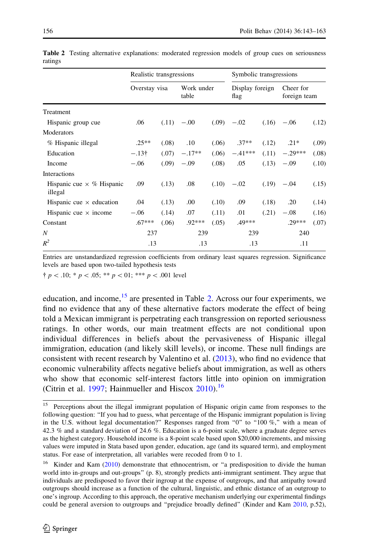|                                             | Realistic transgressions |       |                     |       | Symbolic transgressions |       |                           |       |  |  |
|---------------------------------------------|--------------------------|-------|---------------------|-------|-------------------------|-------|---------------------------|-------|--|--|
|                                             | Overstay visa            |       | Work under<br>table |       | Display foreign<br>flag |       | Cheer for<br>foreign team |       |  |  |
| Treatment                                   |                          |       |                     |       |                         |       |                           |       |  |  |
| Hispanic group cue                          | .06                      |       | $(.11) - .00$       |       | $(.09) - .02$           | (.16) | $-.06$                    | (.12) |  |  |
| Moderators                                  |                          |       |                     |       |                         |       |                           |       |  |  |
| % Hispanic illegal                          | $.25**$                  | (.08) | .10                 | (.06) | $.37**$                 | (.12) | $.21*$                    | (.09) |  |  |
| Education                                   | $-.13\dagger$            | (.07) | $-.17**$            | (.06) | $-.41***$               | (.11) | $-.29***$                 | (.08) |  |  |
| Income                                      | $-.06$                   | (.09) | $-.09$              | (.08) | .05                     | (.13) | $-.09$                    | (.10) |  |  |
| Interactions                                |                          |       |                     |       |                         |       |                           |       |  |  |
| Hispanic cue $\times$ % Hispanic<br>illegal | .09                      | (.13) | .08                 | (.10) | $-.02$                  | (.19) | $-.04$                    | (.15) |  |  |
| Hispanic cue $\times$ education             | .04                      | (.13) | .00.                | (.10) | .09                     | (.18) | .20                       | (.14) |  |  |
| Hispanic cue $\times$ income                | $-.06$                   | (.14) | .07                 | (.11) | .01                     | (.21) | $-.08$                    | (.16) |  |  |
| Constant                                    | $.67***$                 | (.06) | $.92***$            | (.05) | .49***                  |       | $.29***$                  | (.07) |  |  |
| N                                           | 237                      |       | 239                 |       | 239                     |       | 240                       |       |  |  |
| $R^2$                                       | .13                      |       | .13                 |       | .13                     |       | .11                       |       |  |  |

Table 2 Testing alternative explanations: moderated regression models of group cues on seriousness ratings

Entries are unstandardized regression coefficients from ordinary least squares regression. Significance levels are based upon two-tailed hypothesis tests

 $\dagger p < .10; * p < .05; ** p < .01; ** p < .001$  level

education, and income,  $^{15}$  are presented in Table 2. Across our four experiments, we find no evidence that any of these alternative factors moderate the effect of being told a Mexican immigrant is perpetrating each transgression on reported seriousness ratings. In other words, our main treatment effects are not conditional upon individual differences in beliefs about the pervasiveness of Hispanic illegal immigration, education (and likely skill levels), or income. These null findings are consistent with recent research by Valentino et al. ([2013\)](#page-20-0), who find no evidence that economic vulnerability affects negative beliefs about immigration, as well as others who show that economic self-interest factors little into opinion on immigration (Citrin et al. [1997;](#page-19-0) Hainmueller and Hiscox [2010\)](#page-19-0).<sup>16</sup>

Perceptions about the illegal immigrant population of Hispanic origin came from responses to the following question: ''If you had to guess, what percentage of the Hispanic immigrant population is living in the U.S. without legal documentation?" Responses ranged from "0" to "100 %," with a mean of 42.3 % and a standard deviation of 24.6 %. Education is a 6-point scale, where a graduate degree serves as the highest category. Household income is a 8-point scale based upon \$20,000 increments, and missing values were imputed in Stata based upon gender, education, age (and its squared term), and employment status. For ease of interpretation, all variables were recoded from 0 to 1.

<sup>&</sup>lt;sup>16</sup> Kinder and Kam ([2010](#page-19-0)) demonstrate that ethnocentrism, or "a predisposition to divide the human world into in-groups and out-groups'' (p. 8), strongly predicts anti-immigrant sentiment. They argue that individuals are predisposed to favor their ingroup at the expense of outgroups, and that antipathy toward outgroups should increase as a function of the cultural, linguistic, and ethnic distance of an outgroup to one's ingroup. According to this approach, the operative mechanism underlying our experimental findings could be general aversion to outgroups and ''prejudice broadly defined'' (Kinder and Kam [2010](#page-19-0), p.52),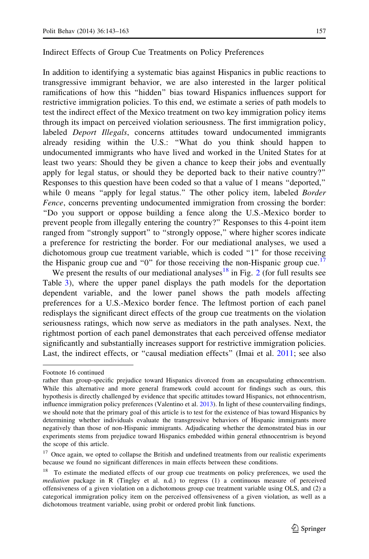#### Indirect Effects of Group Cue Treatments on Policy Preferences

In addition to identifying a systematic bias against Hispanics in public reactions to transgressive immigrant behavior, we are also interested in the larger political ramifications of how this ''hidden'' bias toward Hispanics influences support for restrictive immigration policies. To this end, we estimate a series of path models to test the indirect effect of the Mexico treatment on two key immigration policy items through its impact on perceived violation seriousness. The first immigration policy, labeled *Deport Illegals*, concerns attitudes toward undocumented immigrants already residing within the U.S.: ''What do you think should happen to undocumented immigrants who have lived and worked in the United States for at least two years: Should they be given a chance to keep their jobs and eventually apply for legal status, or should they be deported back to their native country?'' Responses to this question have been coded so that a value of 1 means ''deported,'' while 0 means "apply for legal status." The other policy item, labeled Border Fence, concerns preventing undocumented immigration from crossing the border: ''Do you support or oppose building a fence along the U.S.-Mexico border to prevent people from illegally entering the country?'' Responses to this 4-point item ranged from "strongly support" to "strongly oppose," where higher scores indicate a preference for restricting the border. For our mediational analyses, we used a dichotomous group cue treatment variable, which is coded "1" for those receiving the Hispanic group cue and "0" for those receiving the non-Hispanic group cue.<sup>17</sup>

We present the results of our mediational analyses<sup>18</sup> in Fig. [2](#page-15-0) (for full results see Table [3](#page-16-0)), where the upper panel displays the path models for the deportation dependent variable, and the lower panel shows the path models affecting preferences for a U.S.-Mexico border fence. The leftmost portion of each panel redisplays the significant direct effects of the group cue treatments on the violation seriousness ratings, which now serve as mediators in the path analyses. Next, the rightmost portion of each panel demonstrates that each perceived offense mediator significantly and substantially increases support for restrictive immigration policies. Last, the indirect effects, or "causal mediation effects" (Imai et al. [2011;](#page-19-0) see also

Footnote 16 continued

rather than group-specific prejudice toward Hispanics divorced from an encapsulating ethnocentrism. While this alternative and more general framework could account for findings such as ours, this hypothesis is directly challenged by evidence that specific attitudes toward Hispanics, not ethnocentrism, influence immigration policy preferences (Valentino et al. [2013\)](#page-20-0). In light of these countervailing findings, we should note that the primary goal of this article is to test for the existence of bias toward Hispanics by determining whether individuals evaluate the transgressive behaviors of Hispanic immigrants more negatively than those of non-Hispanic immigrants. Adjudicating whether the demonstrated bias in our experiments stems from prejudice toward Hispanics embedded within general ethnocentrism is beyond the scope of this article.

<sup>&</sup>lt;sup>17</sup> Once again, we opted to collapse the British and undefined treatments from our realistic experiments because we found no significant differences in main effects between these conditions.

<sup>&</sup>lt;sup>18</sup> To estimate the mediated effects of our group cue treatments on policy preferences, we used the mediation package in R (Tingley et al. n.d.) to regress (1) a continuous measure of perceived offensiveness of a given violation on a dichotomous group cue treatment variable using OLS, and (2) a categorical immigration policy item on the perceived offensiveness of a given violation, as well as a dichotomous treatment variable, using probit or ordered probit link functions.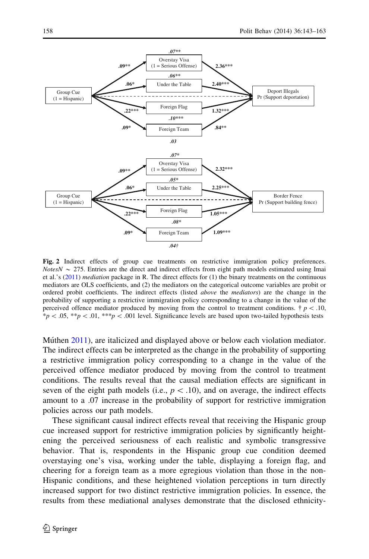<span id="page-15-0"></span>

Fig. 2 Indirect effects of group cue treatments on restrictive immigration policy preferences. *NotesN*  $\sim$  275. Entries are the direct and indirect effects from eight path models estimated using Imai et al.'s [\(2011](#page-19-0)) mediation package in R. The direct effects for (1) the binary treatments on the continuous mediators are OLS coefficients, and (2) the mediators on the categorical outcome variables are probit or ordered probit coefficients. The indirect effects (listed above the mediators) are the change in the probability of supporting a restrictive immigration policy corresponding to a change in the value of the perceived offence mediator produced by moving from the control to treatment conditions.  $\dagger p < .10$ ,  $*p \lt .05, **p \lt .01, ***p \lt .001$  level. Significance levels are based upon two-tailed hypothesis tests

Múthen  $2011$ ), are italicized and displayed above or below each violation mediator. The indirect effects can be interpreted as the change in the probability of supporting a restrictive immigration policy corresponding to a change in the value of the perceived offence mediator produced by moving from the control to treatment conditions. The results reveal that the causal mediation effects are significant in seven of the eight path models (i.e.,  $p \lt 0.10$ ), and on average, the indirect effects amount to a .07 increase in the probability of support for restrictive immigration policies across our path models.

These significant causal indirect effects reveal that receiving the Hispanic group cue increased support for restrictive immigration policies by significantly heightening the perceived seriousness of each realistic and symbolic transgressive behavior. That is, respondents in the Hispanic group cue condition deemed overstaying one's visa, working under the table, displaying a foreign flag, and cheering for a foreign team as a more egregious violation than those in the non-Hispanic conditions, and these heightened violation perceptions in turn directly increased support for two distinct restrictive immigration policies. In essence, the results from these mediational analyses demonstrate that the disclosed ethnicity-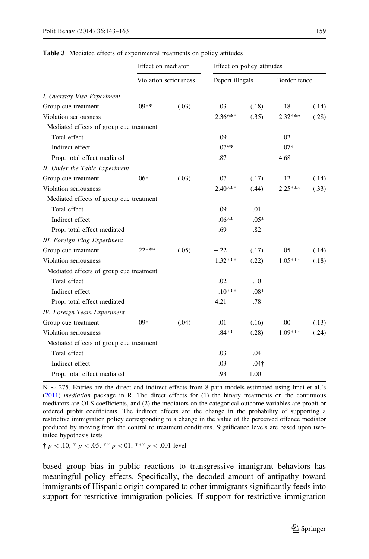<span id="page-16-0"></span>

|  |  |  |  |  | <b>Table 3</b> Mediated effects of experimental treatments on policy attitudes |  |  |
|--|--|--|--|--|--------------------------------------------------------------------------------|--|--|
|--|--|--|--|--|--------------------------------------------------------------------------------|--|--|

|                                         | Effect on mediator<br>Violation seriousness |       | Effect on policy attitudes |              |              |       |  |
|-----------------------------------------|---------------------------------------------|-------|----------------------------|--------------|--------------|-------|--|
|                                         |                                             |       | Deport illegals            |              | Border fence |       |  |
| I. Overstay Visa Experiment             |                                             |       |                            |              |              |       |  |
| Group cue treatment                     | $.09**$                                     | (.03) | .03                        | (.18)        | $-.18$       | (.14) |  |
| Violation seriousness                   |                                             |       | 2.36***                    | (.35)        | $2.32***$    | (.28) |  |
| Mediated effects of group cue treatment |                                             |       |                            |              |              |       |  |
| Total effect                            |                                             |       | .09                        |              | .02          |       |  |
| Indirect effect                         |                                             |       | $.07**$                    |              | $.07*$       |       |  |
| Prop. total effect mediated             |                                             |       | .87                        |              | 4.68         |       |  |
| II. Under the Table Experiment          |                                             |       |                            |              |              |       |  |
| Group cue treatment                     | $.06*$                                      | (.03) | .07                        | (.17)        | $-.12$       | (.14) |  |
| Violation seriousness                   |                                             |       | $2.40***$                  | (.44)        | $2.25***$    | (.33) |  |
| Mediated effects of group cue treatment |                                             |       |                            |              |              |       |  |
| Total effect                            |                                             |       | .09                        | .01          |              |       |  |
| Indirect effect                         |                                             |       | $.06**$                    | $.05*$       |              |       |  |
| Prop. total effect mediated             |                                             |       | .69                        | .82          |              |       |  |
| III. Foreign Flag Experiment            |                                             |       |                            |              |              |       |  |
| Group cue treatment                     | $22***$                                     | (.05) | $-.22$                     | (.17)        | .05          | (.14) |  |
| Violation seriousness                   |                                             |       | $1.32***$                  | (.22)        | $1.05***$    | (.18) |  |
| Mediated effects of group cue treatment |                                             |       |                            |              |              |       |  |
| Total effect                            |                                             |       | .02                        | .10          |              |       |  |
| Indirect effect                         |                                             |       | $.10***$                   | $.08*$       |              |       |  |
| Prop. total effect mediated             |                                             |       | 4.21                       | .78          |              |       |  |
| IV. Foreign Team Experiment             |                                             |       |                            |              |              |       |  |
| Group cue treatment                     | $.09*$                                      | (.04) | .01                        | (.16)        | $-.00$       | (.13) |  |
| Violation seriousness                   |                                             |       | $.84**$                    | (.28)        | 1.09***      | (.24) |  |
| Mediated effects of group cue treatment |                                             |       |                            |              |              |       |  |
| Total effect                            |                                             |       | .03                        | .04          |              |       |  |
| Indirect effect                         |                                             |       | .03                        | $.04\dagger$ |              |       |  |
| Prop. total effect mediated             |                                             |       | .93                        | 1.00         |              |       |  |

 $N \sim 275$ . Entries are the direct and indirect effects from 8 path models estimated using Imai et al.'s ([2011\)](#page-19-0) mediation package in R. The direct effects for (1) the binary treatments on the continuous mediators are OLS coefficients, and (2) the mediators on the categorical outcome variables are probit or ordered probit coefficients. The indirect effects are the change in the probability of supporting a restrictive immigration policy corresponding to a change in the value of the perceived offence mediator produced by moving from the control to treatment conditions. Significance levels are based upon twotailed hypothesis tests

 $\uparrow p < .10; * p < .05; ** p < 01; ** p < .001$  level

based group bias in public reactions to transgressive immigrant behaviors has meaningful policy effects. Specifically, the decoded amount of antipathy toward immigrants of Hispanic origin compared to other immigrants significantly feeds into support for restrictive immigration policies. If support for restrictive immigration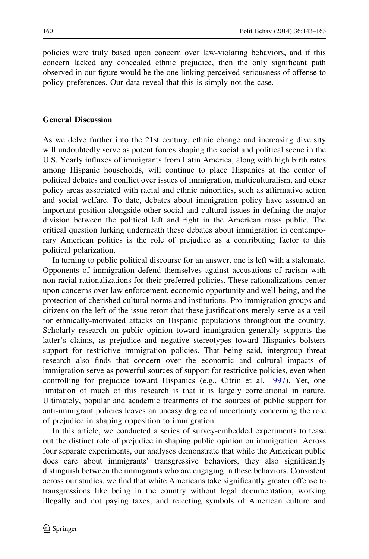policies were truly based upon concern over law-violating behaviors, and if this concern lacked any concealed ethnic prejudice, then the only significant path observed in our figure would be the one linking perceived seriousness of offense to policy preferences. Our data reveal that this is simply not the case.

## General Discussion

As we delve further into the 21st century, ethnic change and increasing diversity will undoubtedly serve as potent forces shaping the social and political scene in the U.S. Yearly influxes of immigrants from Latin America, along with high birth rates among Hispanic households, will continue to place Hispanics at the center of political debates and conflict over issues of immigration, multiculturalism, and other policy areas associated with racial and ethnic minorities, such as affirmative action and social welfare. To date, debates about immigration policy have assumed an important position alongside other social and cultural issues in defining the major division between the political left and right in the American mass public. The critical question lurking underneath these debates about immigration in contemporary American politics is the role of prejudice as a contributing factor to this political polarization.

In turning to public political discourse for an answer, one is left with a stalemate. Opponents of immigration defend themselves against accusations of racism with non-racial rationalizations for their preferred policies. These rationalizations center upon concerns over law enforcement, economic opportunity and well-being, and the protection of cherished cultural norms and institutions. Pro-immigration groups and citizens on the left of the issue retort that these justifications merely serve as a veil for ethnically-motivated attacks on Hispanic populations throughout the country. Scholarly research on public opinion toward immigration generally supports the latter's claims, as prejudice and negative stereotypes toward Hispanics bolsters support for restrictive immigration policies. That being said, intergroup threat research also finds that concern over the economic and cultural impacts of immigration serve as powerful sources of support for restrictive policies, even when controlling for prejudice toward Hispanics (e.g., Citrin et al. [1997](#page-19-0)). Yet, one limitation of much of this research is that it is largely correlational in nature. Ultimately, popular and academic treatments of the sources of public support for anti-immigrant policies leaves an uneasy degree of uncertainty concerning the role of prejudice in shaping opposition to immigration.

In this article, we conducted a series of survey-embedded experiments to tease out the distinct role of prejudice in shaping public opinion on immigration. Across four separate experiments, our analyses demonstrate that while the American public does care about immigrants' transgressive behaviors, they also significantly distinguish between the immigrants who are engaging in these behaviors. Consistent across our studies, we find that white Americans take significantly greater offense to transgressions like being in the country without legal documentation, working illegally and not paying taxes, and rejecting symbols of American culture and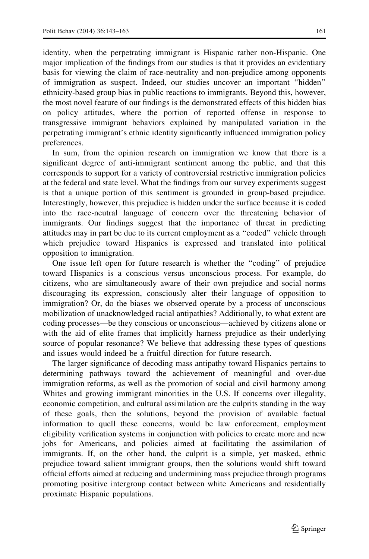identity, when the perpetrating immigrant is Hispanic rather non-Hispanic. One major implication of the findings from our studies is that it provides an evidentiary basis for viewing the claim of race-neutrality and non-prejudice among opponents of immigration as suspect. Indeed, our studies uncover an important ''hidden'' ethnicity-based group bias in public reactions to immigrants. Beyond this, however, the most novel feature of our findings is the demonstrated effects of this hidden bias on policy attitudes, where the portion of reported offense in response to transgressive immigrant behaviors explained by manipulated variation in the perpetrating immigrant's ethnic identity significantly influenced immigration policy preferences.

In sum, from the opinion research on immigration we know that there is a significant degree of anti-immigrant sentiment among the public, and that this corresponds to support for a variety of controversial restrictive immigration policies at the federal and state level. What the findings from our survey experiments suggest is that a unique portion of this sentiment is grounded in group-based prejudice. Interestingly, however, this prejudice is hidden under the surface because it is coded into the race-neutral language of concern over the threatening behavior of immigrants. Our findings suggest that the importance of threat in predicting attitudes may in part be due to its current employment as a ''coded'' vehicle through which prejudice toward Hispanics is expressed and translated into political opposition to immigration.

One issue left open for future research is whether the ''coding'' of prejudice toward Hispanics is a conscious versus unconscious process. For example, do citizens, who are simultaneously aware of their own prejudice and social norms discouraging its expression, consciously alter their language of opposition to immigration? Or, do the biases we observed operate by a process of unconscious mobilization of unacknowledged racial antipathies? Additionally, to what extent are coding processes—be they conscious or unconscious—achieved by citizens alone or with the aid of elite frames that implicitly harness prejudice as their underlying source of popular resonance? We believe that addressing these types of questions and issues would indeed be a fruitful direction for future research.

The larger significance of decoding mass antipathy toward Hispanics pertains to determining pathways toward the achievement of meaningful and over-due immigration reforms, as well as the promotion of social and civil harmony among Whites and growing immigrant minorities in the U.S. If concerns over illegality, economic competition, and cultural assimilation are the culprits standing in the way of these goals, then the solutions, beyond the provision of available factual information to quell these concerns, would be law enforcement, employment eligibility verification systems in conjunction with policies to create more and new jobs for Americans, and policies aimed at facilitating the assimilation of immigrants. If, on the other hand, the culprit is a simple, yet masked, ethnic prejudice toward salient immigrant groups, then the solutions would shift toward official efforts aimed at reducing and undermining mass prejudice through programs promoting positive intergroup contact between white Americans and residentially proximate Hispanic populations.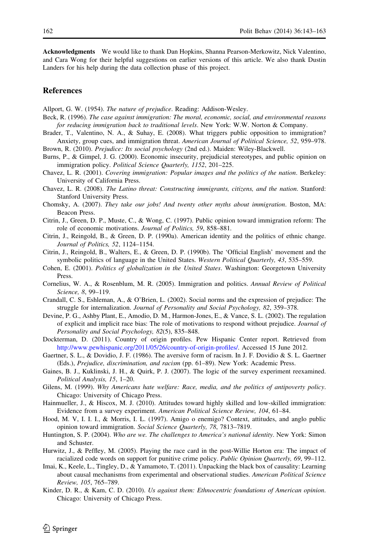<span id="page-19-0"></span>Acknowledgments We would like to thank Dan Hopkins, Shanna Pearson-Merkowitz, Nick Valentino, and Cara Wong for their helpful suggestions on earlier versions of this article. We also thank Dustin Landers for his help during the data collection phase of this project.

### References

Allport, G. W. (1954). The nature of prejudice. Reading: Addison-Wesley.

- Beck, R. (1996). The case against immigration: The moral, economic, social, and environmental reasons for reducing immigration back to traditional levels. New York: W.W. Norton & Company.
- Brader, T., Valentino, N. A., & Suhay, E. (2008). What triggers public opposition to immigration? Anxiety, group cues, and immigration threat. American Journal of Political Science, 52, 959–978.

Brown, R. (2010). Prejudice: Its social psychology (2nd ed.). Maiden: Wiley-Blackwell.

- Burns, P., & Gimpel, J. G. (2000). Economic insecurity, prejudicial stereotypes, and public opinion on immigration policy. Political Science Quarterly, 1152, 201–225.
- Chavez, L. R. (2001). Covering immigration: Popular images and the politics of the nation. Berkeley: University of California Press.
- Chavez, L. R. (2008). The Latino threat: Constructing immigrants, citizens, and the nation. Stanford: Stanford University Press.
- Chomsky, A. (2007). They take our jobs! And twenty other myths about immigration. Boston, MA: Beacon Press.
- Citrin, J., Green, D. P., Muste, C., & Wong, C. (1997). Public opinion toward immigration reform: The role of economic motivations. Journal of Politics, 59, 858–881.
- Citrin, J., Reingold, B., & Green, D. P. (1990a). American identity and the politics of ethnic change. Journal of Politics, 52, 1124–1154.
- Citrin, J., Reingold, B., Walters, E., & Green, D. P. (1990b). The 'Official English' movement and the symbolic politics of language in the United States. Western Political Quarterly, 43, 535–559.
- Cohen, E. (2001). Politics of globalization in the United States. Washington: Georgetown University Press.
- Cornelius, W. A., & Rosenblum, M. R. (2005). Immigration and politics. Annual Review of Political Science, 8, 99–119.
- Crandall, C. S., Eshleman, A., & O'Brien, L. (2002). Social norms and the expression of prejudice: The struggle for internalization. Journal of Personality and Social Psychology, 82, 359–378.
- Devine, P. G., Ashby Plant, E., Amodio, D. M., Harmon-Jones, E., & Vance, S. L. (2002). The regulation of explicit and implicit race bias: The role of motivations to respond without prejudice. Journal of Personality and Social Psychology, 82(5), 835–848.
- Dockterman, D. (2011). Country of origin profiles. Pew Hispanic Center report. Retrieved from <http://www.pewhispanic.org/2011/05/26/country-of-origin-profiles/>. Accessed 15 June 2012.
- Gaertner, S. L., & Dovidio, J. F. (1986). The aversive form of racism. In J. F. Dovidio & S. L. Gaertner (Eds.), Prejudice, discrimination, and racism (pp. 61–89). New York: Academic Press.
- Gaines, B. J., Kuklinski, J. H., & Quirk, P. J. (2007). The logic of the survey experiment reexamined. Political Analysis, 15, 1–20.
- Gilens, M. (1999). Why Americans hate welfare: Race, media, and the politics of antipoverty policy. Chicago: University of Chicago Press.
- Hainmueller, J., & Hiscox, M. J. (2010). Attitudes toward highly skilled and low-skilled immigration: Evidence from a survey experiment. American Political Science Review, 104, 61–84.
- Hood, M. V, I. I. I., & Morris, I. L. (1997). Amigo o enemigo? Context, attitudes, and anglo public opinion toward immigration. Social Science Quarterly, 78, 7813–7819.
- Huntington, S. P. (2004). Who are we. The challenges to America's national identity. New York: Simon and Schuster.
- Hurwitz, J., & Peffley, M. (2005). Playing the race card in the post-Willie Horton era: The impact of racialized code words on support for punitive crime policy. Public Opinion Quarterly, 69, 99–112.
- Imai, K., Keele, L., Tingley, D., & Yamamoto, T. (2011). Unpacking the black box of causality: Learning about causal mechanisms from experimental and observational studies. American Political Science Review, 105, 765–789.
- Kinder, D. R., & Kam, C. D. (2010). Us against them: Ethnocentric foundations of American opinion. Chicago: University of Chicago Press.